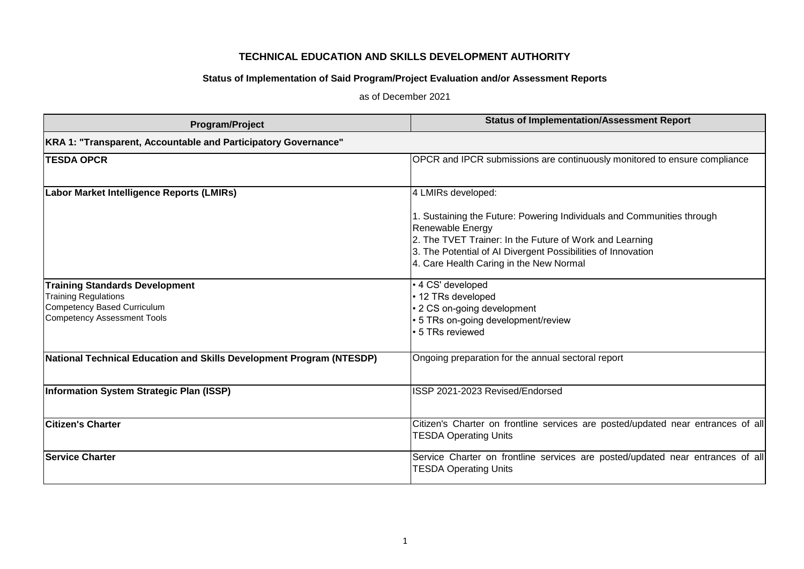## **TECHNICAL EDUCATION AND SKILLS DEVELOPMENT AUTHORITY**

## **Status of Implementation of Said Program/Project Evaluation and/or Assessment Reports**

as of December 2021

| Program/Project                                                                                                                           | <b>Status of Implementation/Assessment Report</b>                                                                                                                                                                                                                                      |
|-------------------------------------------------------------------------------------------------------------------------------------------|----------------------------------------------------------------------------------------------------------------------------------------------------------------------------------------------------------------------------------------------------------------------------------------|
| KRA 1: "Transparent, Accountable and Participatory Governance"                                                                            |                                                                                                                                                                                                                                                                                        |
| <b>TESDA OPCR</b>                                                                                                                         | OPCR and IPCR submissions are continuously monitored to ensure compliance                                                                                                                                                                                                              |
| Labor Market Intelligence Reports (LMIRs)                                                                                                 | 4 LMIRs developed:<br>1. Sustaining the Future: Powering Individuals and Communities through<br>Renewable Energy<br>2. The TVET Trainer: In the Future of Work and Learning<br>3. The Potential of AI Divergent Possibilities of Innovation<br>4. Care Health Caring in the New Normal |
| <b>Training Standards Development</b><br><b>Training Regulations</b><br>Competency Based Curriculum<br><b>Competency Assessment Tools</b> | • 4 CS' developed<br>• 12 TRs developed<br>• 2 CS on-going development<br>• 5 TRs on-going development/review<br>• 5 TRs reviewed                                                                                                                                                      |
| National Technical Education and Skills Development Program (NTESDP)                                                                      | Ongoing preparation for the annual sectoral report                                                                                                                                                                                                                                     |
| Information System Strategic Plan (ISSP)                                                                                                  | ISSP 2021-2023 Revised/Endorsed                                                                                                                                                                                                                                                        |
| <b>Citizen's Charter</b>                                                                                                                  | Citizen's Charter on frontline services are posted/updated near entrances of all<br><b>TESDA Operating Units</b>                                                                                                                                                                       |
| <b>Service Charter</b>                                                                                                                    | Service Charter on frontline services are posted/updated near entrances of all<br><b>TESDA Operating Units</b>                                                                                                                                                                         |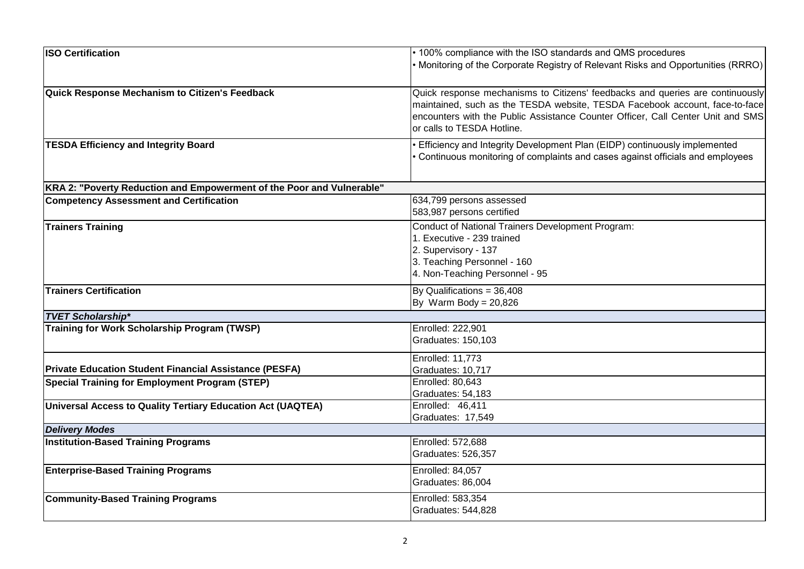| <b>ISO Certification</b>                                              | • 100% compliance with the ISO standards and QMS procedures                       |
|-----------------------------------------------------------------------|-----------------------------------------------------------------------------------|
|                                                                       | • Monitoring of the Corporate Registry of Relevant Risks and Opportunities (RRRO) |
|                                                                       |                                                                                   |
| Quick Response Mechanism to Citizen's Feedback                        | Quick response mechanisms to Citizens' feedbacks and queries are continuously     |
|                                                                       | maintained, such as the TESDA website, TESDA Facebook account, face-to-face       |
|                                                                       | encounters with the Public Assistance Counter Officer, Call Center Unit and SMS   |
|                                                                       | or calls to TESDA Hotline.                                                        |
| <b>TESDA Efficiency and Integrity Board</b>                           | Efficiency and Integrity Development Plan (EIDP) continuously implemented         |
|                                                                       | Continuous monitoring of complaints and cases against officials and employees     |
|                                                                       |                                                                                   |
| KRA 2: "Poverty Reduction and Empowerment of the Poor and Vulnerable" |                                                                                   |
| <b>Competency Assessment and Certification</b>                        | 634,799 persons assessed                                                          |
|                                                                       | 583,987 persons certified                                                         |
| <b>Trainers Training</b>                                              | Conduct of National Trainers Development Program:                                 |
|                                                                       | 1. Executive - 239 trained                                                        |
|                                                                       | 2. Supervisory - 137                                                              |
|                                                                       | 3. Teaching Personnel - 160                                                       |
|                                                                       | 4. Non-Teaching Personnel - 95                                                    |
| <b>Trainers Certification</b>                                         | By Qualifications = 36,408                                                        |
|                                                                       | By Warm Body = $20,826$                                                           |
| <b>TVET Scholarship*</b>                                              |                                                                                   |
| Training for Work Scholarship Program (TWSP)                          | Enrolled: 222,901                                                                 |
|                                                                       | Graduates: 150,103                                                                |
|                                                                       | Enrolled: 11,773                                                                  |
| <b>Private Education Student Financial Assistance (PESFA)</b>         | Graduates: 10,717                                                                 |
| <b>Special Training for Employment Program (STEP)</b>                 | Enrolled: 80,643                                                                  |
|                                                                       | Graduates: 54,183                                                                 |
| Universal Access to Quality Tertiary Education Act (UAQTEA)           | Enrolled: 46,411                                                                  |
|                                                                       | Graduates: 17,549                                                                 |
| <b>Delivery Modes</b>                                                 |                                                                                   |
| <b>Institution-Based Training Programs</b>                            | Enrolled: 572,688                                                                 |
|                                                                       | Graduates: 526,357                                                                |
| <b>Enterprise-Based Training Programs</b>                             | Enrolled: 84,057                                                                  |
|                                                                       | Graduates: 86,004                                                                 |
| <b>Community-Based Training Programs</b>                              | Enrolled: 583,354                                                                 |
|                                                                       | Graduates: 544,828                                                                |
|                                                                       |                                                                                   |